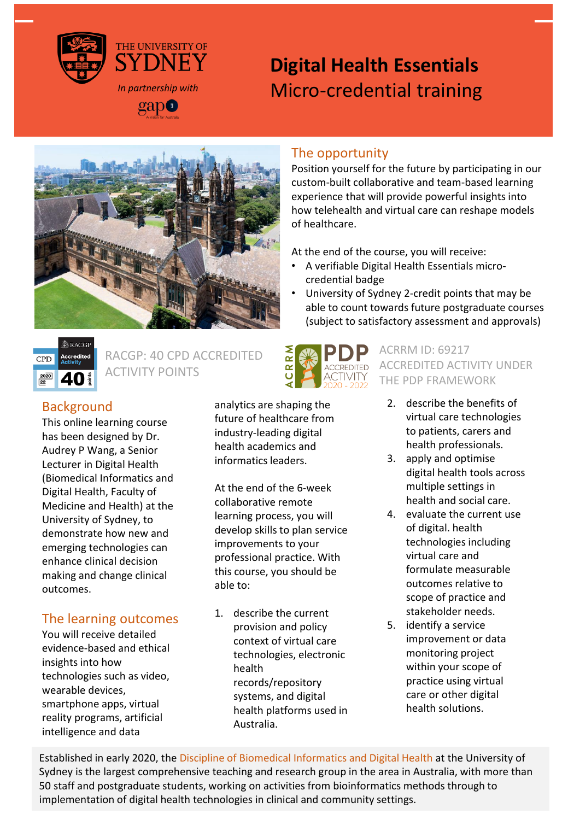

# **Digital Health Essentials** Micro-credential training



## The opportunity

Position yourself for the future by participating in our custom-built collaborative and team-based learning experience that will provide powerful insights into how telehealth and virtual care can reshape models of healthcare.

At the end of the course, you will receive:

- A verifiable Digital Health Essentials microcredential badge
- University of Sydney 2-credit points that may be able to count towards future postgraduate courses (subject to satisfactory assessment and approvals)



RACGP: 40 CPD ACCREDITED ACTIVITY POINTS



This online learning course has been designed by Dr. Audrey P Wang, a Senior Lecturer in Digital Health (Biomedical Informatics and Digital Health, Faculty of Medicine and Health) at the University of Sydney, to demonstrate how new and emerging technologies can enhance clinical decision making and change clinical outcomes.

## The learning outcomes

You will receive detailed evidence-based and ethical insights into how technologies such as video, wearable devices, smartphone apps, virtual reality programs, artificial intelligence and data

analytics are shaping the future of healthcare from industry-leading digital health academics and informatics leaders.

At the end of the 6-week collaborative remote learning process, you will develop skills to plan service improvements to your professional practice. With this course, you should be able to:

1. describe the current provision and policy context of virtual care technologies, electronic health records/repository systems, and digital health platforms used in Australia.



ACRRM ID: 69217 ACCREDITED ACTIVITY UNDER THE PDP FRAMEWORK

- 2. describe the benefits of virtual care technologies to patients, carers and health professionals.
- 3. apply and optimise digital health tools across multiple settings in health and social care.
- 4. evaluate the current use of digital. health technologies including virtual care and formulate measurable outcomes relative to scope of practice and stakeholder needs.
- 5. identify a service improvement or data monitoring project within your scope of practice using virtual care or other digital health solutions.

Established in early 2020, the Discipline of Biomedical Informatics and Digital Health at the University of Sydney is the largest comprehensive teaching and research group in the area in Australia, with more than 50 staff and postgraduate students, working on activities from bioinformatics methods through to implementation of digital health technologies in clinical and community settings.